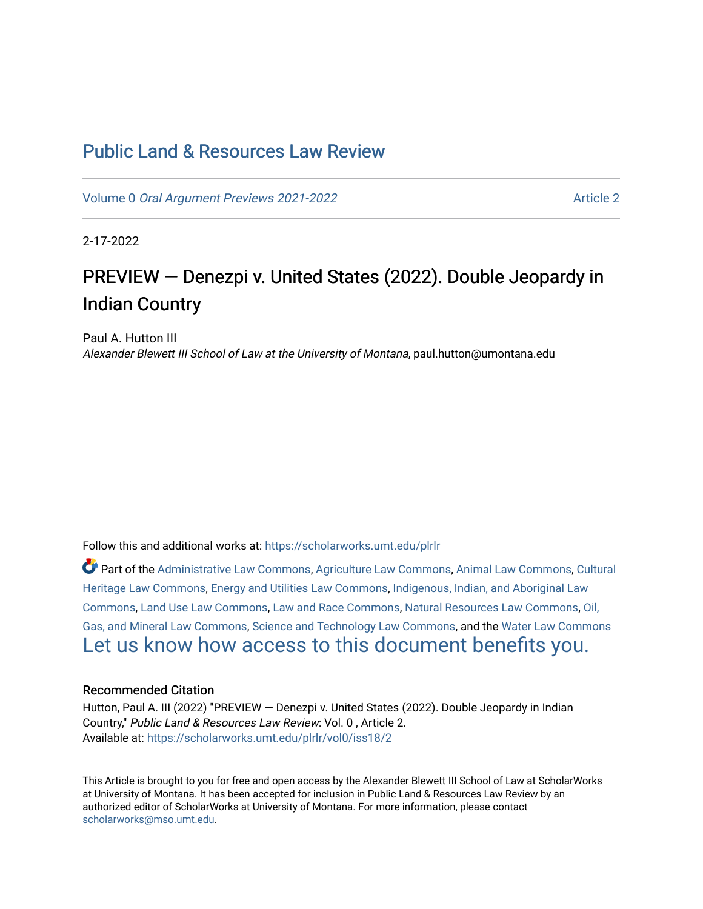# [Public Land & Resources Law Review](https://scholarworks.umt.edu/plrlr)

Volume 0 [Oral Argument Previews 2021-2022](https://scholarworks.umt.edu/plrlr/vol0) Article 2

2-17-2022

# PREVIEW — Denezpi v. United States (2022). Double Jeopardy in Indian Country

Paul A. Hutton III Alexander Blewett III School of Law at the University of Montana, paul.hutton@umontana.edu

Follow this and additional works at: [https://scholarworks.umt.edu/plrlr](https://scholarworks.umt.edu/plrlr?utm_source=scholarworks.umt.edu%2Fplrlr%2Fvol0%2Fiss18%2F2&utm_medium=PDF&utm_campaign=PDFCoverPages) 

Part of the [Administrative Law Commons,](http://network.bepress.com/hgg/discipline/579?utm_source=scholarworks.umt.edu%2Fplrlr%2Fvol0%2Fiss18%2F2&utm_medium=PDF&utm_campaign=PDFCoverPages) [Agriculture Law Commons](http://network.bepress.com/hgg/discipline/581?utm_source=scholarworks.umt.edu%2Fplrlr%2Fvol0%2Fiss18%2F2&utm_medium=PDF&utm_campaign=PDFCoverPages), [Animal Law Commons](http://network.bepress.com/hgg/discipline/831?utm_source=scholarworks.umt.edu%2Fplrlr%2Fvol0%2Fiss18%2F2&utm_medium=PDF&utm_campaign=PDFCoverPages), [Cultural](http://network.bepress.com/hgg/discipline/1384?utm_source=scholarworks.umt.edu%2Fplrlr%2Fvol0%2Fiss18%2F2&utm_medium=PDF&utm_campaign=PDFCoverPages)  [Heritage Law Commons](http://network.bepress.com/hgg/discipline/1384?utm_source=scholarworks.umt.edu%2Fplrlr%2Fvol0%2Fiss18%2F2&utm_medium=PDF&utm_campaign=PDFCoverPages), [Energy and Utilities Law Commons,](http://network.bepress.com/hgg/discipline/891?utm_source=scholarworks.umt.edu%2Fplrlr%2Fvol0%2Fiss18%2F2&utm_medium=PDF&utm_campaign=PDFCoverPages) [Indigenous, Indian, and Aboriginal Law](http://network.bepress.com/hgg/discipline/894?utm_source=scholarworks.umt.edu%2Fplrlr%2Fvol0%2Fiss18%2F2&utm_medium=PDF&utm_campaign=PDFCoverPages)  [Commons](http://network.bepress.com/hgg/discipline/894?utm_source=scholarworks.umt.edu%2Fplrlr%2Fvol0%2Fiss18%2F2&utm_medium=PDF&utm_campaign=PDFCoverPages), [Land Use Law Commons](http://network.bepress.com/hgg/discipline/852?utm_source=scholarworks.umt.edu%2Fplrlr%2Fvol0%2Fiss18%2F2&utm_medium=PDF&utm_campaign=PDFCoverPages), [Law and Race Commons](http://network.bepress.com/hgg/discipline/1300?utm_source=scholarworks.umt.edu%2Fplrlr%2Fvol0%2Fiss18%2F2&utm_medium=PDF&utm_campaign=PDFCoverPages), [Natural Resources Law Commons,](http://network.bepress.com/hgg/discipline/863?utm_source=scholarworks.umt.edu%2Fplrlr%2Fvol0%2Fiss18%2F2&utm_medium=PDF&utm_campaign=PDFCoverPages) [Oil,](http://network.bepress.com/hgg/discipline/864?utm_source=scholarworks.umt.edu%2Fplrlr%2Fvol0%2Fiss18%2F2&utm_medium=PDF&utm_campaign=PDFCoverPages) [Gas, and Mineral Law Commons](http://network.bepress.com/hgg/discipline/864?utm_source=scholarworks.umt.edu%2Fplrlr%2Fvol0%2Fiss18%2F2&utm_medium=PDF&utm_campaign=PDFCoverPages), [Science and Technology Law Commons,](http://network.bepress.com/hgg/discipline/875?utm_source=scholarworks.umt.edu%2Fplrlr%2Fvol0%2Fiss18%2F2&utm_medium=PDF&utm_campaign=PDFCoverPages) and the [Water Law Commons](http://network.bepress.com/hgg/discipline/887?utm_source=scholarworks.umt.edu%2Fplrlr%2Fvol0%2Fiss18%2F2&utm_medium=PDF&utm_campaign=PDFCoverPages) [Let us know how access to this document benefits you.](https://goo.gl/forms/s2rGfXOLzz71qgsB2) 

# Recommended Citation

Hutton, Paul A. III (2022) "PREVIEW — Denezpi v. United States (2022). Double Jeopardy in Indian Country," Public Land & Resources Law Review: Vol. 0 , Article 2. Available at: [https://scholarworks.umt.edu/plrlr/vol0/iss18/2](https://scholarworks.umt.edu/plrlr/vol0/iss18/2?utm_source=scholarworks.umt.edu%2Fplrlr%2Fvol0%2Fiss18%2F2&utm_medium=PDF&utm_campaign=PDFCoverPages)

This Article is brought to you for free and open access by the Alexander Blewett III School of Law at ScholarWorks at University of Montana. It has been accepted for inclusion in Public Land & Resources Law Review by an authorized editor of ScholarWorks at University of Montana. For more information, please contact [scholarworks@mso.umt.edu.](mailto:scholarworks@mso.umt.edu)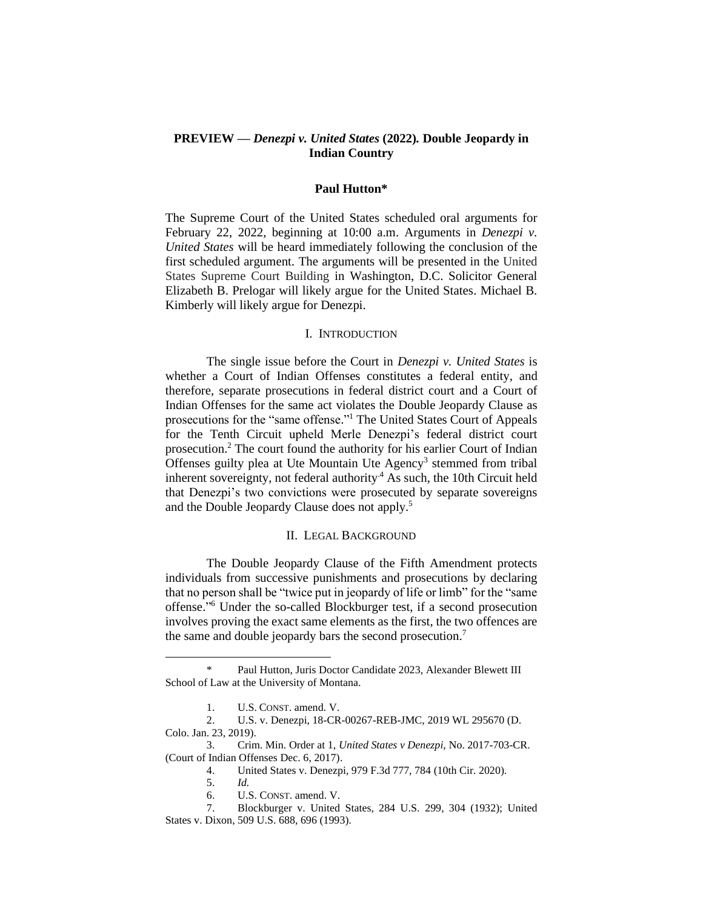# **PREVIEW** *— Denezpi v. United States* **(2022)***.* **Double Jeopardy in Indian Country**

# **Paul Hutton\***

The Supreme Court of the United States scheduled oral arguments for February 22, 2022, beginning at 10:00 a.m. Arguments in *Denezpi v. United States* will be heard immediately following the conclusion of the first scheduled argument. The arguments will be presented in the United States Supreme Court Building in Washington, D.C. Solicitor General Elizabeth B. Prelogar will likely argue for the United States. Michael B. Kimberly will likely argue for Denezpi.

#### I. INTRODUCTION

The single issue before the Court in *Denezpi v. United States* is whether a Court of Indian Offenses constitutes a federal entity, and therefore, separate prosecutions in federal district court and a Court of Indian Offenses for the same act violates the Double Jeopardy Clause as prosecutions for the "same offense." <sup>1</sup> The United States Court of Appeals for the Tenth Circuit upheld Merle Denezpi's federal district court prosecution. <sup>2</sup> The court found the authority for his earlier Court of Indian Offenses guilty plea at Ute Mountain Ute Agency<sup>3</sup> stemmed from tribal inherent sovereignty, not federal authority.<sup>4</sup> As such, the 10th Circuit held that Denezpi's two convictions were prosecuted by separate sovereigns and the Double Jeopardy Clause does not apply. 5

#### II. LEGAL BACKGROUND

The Double Jeopardy Clause of the Fifth Amendment protects individuals from successive punishments and prosecutions by declaring that no person shall be "twice put in jeopardy of life or limb" for the "same offense." <sup>6</sup> Under the so-called Blockburger test, if a second prosecution involves proving the exact same elements as the first, the two offences are the same and double jeopardy bars the second prosecution.<sup>7</sup>

Paul Hutton, Juris Doctor Candidate 2023, Alexander Blewett III School of Law at the University of Montana.

<sup>1.</sup> U.S. CONST. amend. V.

<sup>2.</sup> U.S. v. Denezpi, 18-CR-00267-REB-JMC, 2019 WL 295670 (D. Colo. Jan. 23, 2019).

<sup>3.</sup> Crim. Min. Order at 1, *United States v Denezpi*, No. 2017-703-CR. (Court of Indian Offenses Dec. 6, 2017).

<sup>4.</sup> United States v. Denezpi, 979 F.3d 777, 784 (10th Cir. 2020).

<sup>5.</sup> *Id.*

<sup>6.</sup> U.S. CONST. amend. V.

<sup>7.</sup> Blockburger v. United States, 284 U.S. 299, 304 (1932); United States v. Dixon, 509 U.S. 688, 696 (1993).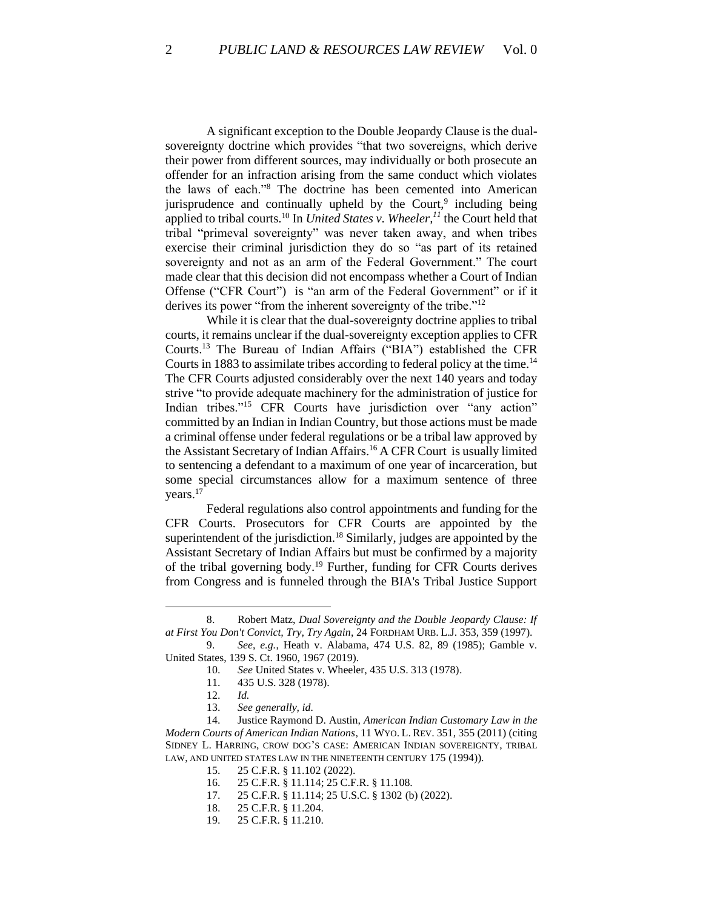A significant exception to the Double Jeopardy Clause is the dualsovereignty doctrine which provides "that two sovereigns, which derive their power from different sources, may individually or both prosecute an offender for an infraction arising from the same conduct which violates the laws of each."<sup>8</sup> The doctrine has been cemented into American jurisprudence and continually upheld by the Court, $9$  including being applied to tribal courts.<sup>10</sup> In *United States v. Wheeler, <sup>11</sup>* the Court held that tribal "primeval sovereignty" was never taken away, and when tribes exercise their criminal jurisdiction they do so "as part of its retained sovereignty and not as an arm of the Federal Government." The court made clear that this decision did not encompass whether a Court of Indian Offense ("CFR Court") is "an arm of the Federal Government" or if it derives its power "from the inherent sovereignty of the tribe."<sup>12</sup>

While it is clear that the dual-sovereignty doctrine applies to tribal courts, it remains unclear if the dual-sovereignty exception applies to CFR Courts.<sup>13</sup> The Bureau of Indian Affairs ("BIA") established the CFR Courts in 1883 to assimilate tribes according to federal policy at the time.<sup>14</sup> The CFR Courts adjusted considerably over the next 140 years and today strive "to provide adequate machinery for the administration of justice for Indian tribes."<sup>15</sup> CFR Courts have jurisdiction over "any action" committed by an Indian in Indian Country, but those actions must be made a criminal offense under federal regulations or be a tribal law approved by the Assistant Secretary of Indian Affairs. <sup>16</sup> A CFR Court is usually limited to sentencing a defendant to a maximum of one year of incarceration, but some special circumstances allow for a maximum sentence of three years.<sup>17</sup>

Federal regulations also control appointments and funding for the CFR Courts. Prosecutors for CFR Courts are appointed by the superintendent of the jurisdiction.<sup>18</sup> Similarly, judges are appointed by the Assistant Secretary of Indian Affairs but must be confirmed by a majority of the tribal governing body.<sup>19</sup> Further, funding for CFR Courts derives from Congress and is funneled through the BIA's Tribal Justice Support

<sup>8.</sup> Robert Matz, *Dual Sovereignty and the Double Jeopardy Clause: If at First You Don't Convict, Try, Try Again*, 24 FORDHAM URB. L.J. 353, 359 (1997).

<sup>9.</sup> *See*, *e.g.*, Heath v. Alabama, 474 U.S. 82, 89 (1985); Gamble v. United States, 139 S. Ct. 1960, 1967 (2019).

<sup>10.</sup> *See* United States v. Wheeler, 435 U.S. 313 (1978).

<sup>11. 435</sup> U.S. 328 (1978).

<sup>12.</sup> *Id.*

<sup>13.</sup> *See generally, id.*

<sup>14.</sup> Justice Raymond D. Austin, *American Indian Customary Law in the Modern Courts of American Indian Nations*, 11 WYO. L. REV. 351, 355 (2011) (citing SIDNEY L. HARRING, CROW DOG'S CASE: AMERICAN INDIAN SOVEREIGNTY, TRIBAL LAW, AND UNITED STATES LAW IN THE NINETEENTH CENTURY 175 (1994)).

<sup>15.</sup> 25 C.F.R. § 11.102 (2022).

<sup>16.</sup> 25 C.F.R. § 11.114; 25 C.F.R. § 11.108.

<sup>17.</sup> 25 C.F.R. § 11.114; 25 U.S.C. § 1302 (b) (2022).

<sup>18.</sup> 25 C.F.R. § 11.204.

<sup>19.</sup> 25 C.F.R. § 11.210.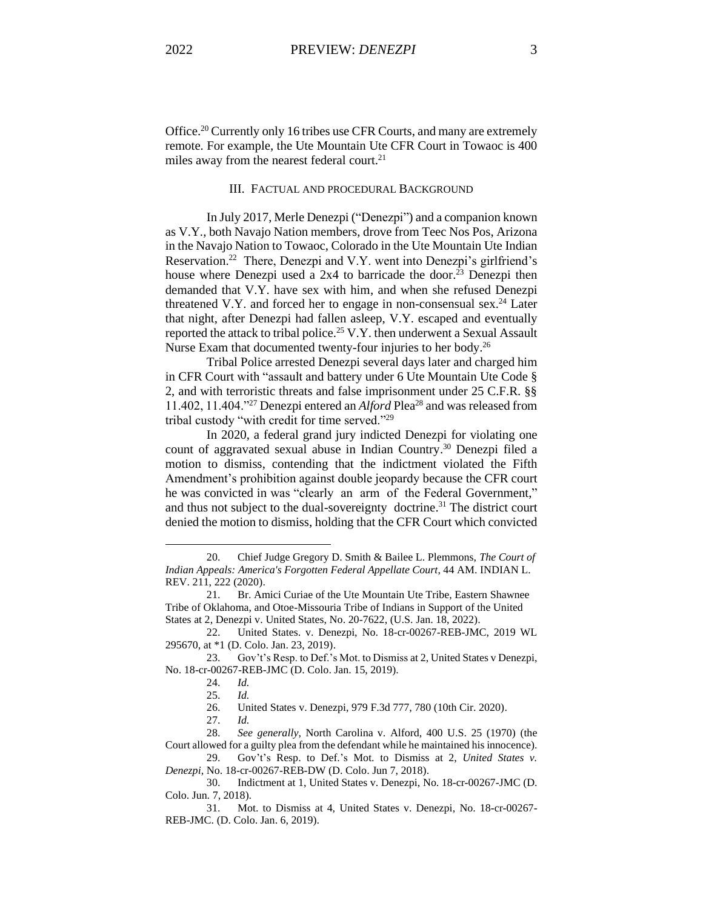Office.<sup>20</sup> Currently only 16 tribes use CFR Courts, and many are extremely remote. For example, the Ute Mountain Ute CFR Court in Towaoc is 400 miles away from the nearest federal court.<sup>21</sup>

#### III. FACTUAL AND PROCEDURAL BACKGROUND

In July 2017, Merle Denezpi ("Denezpi") and a companion known as V.Y., both Navajo Nation members, drove from Teec Nos Pos, Arizona in the Navajo Nation to Towaoc, Colorado in the Ute Mountain Ute Indian Reservation.<sup>22</sup> There, Denezpi and V.Y. went into Denezpi's girlfriend's house where Denezpi used a 2x4 to barricade the door. <sup>23</sup> Denezpi then demanded that V.Y. have sex with him, and when she refused Denezpi threatened V.Y. and forced her to engage in non-consensual sex.<sup>24</sup> Later that night, after Denezpi had fallen asleep, V.Y. escaped and eventually reported the attack to tribal police.<sup>25</sup> V.Y. then underwent a Sexual Assault Nurse Exam that documented twenty-four injuries to her body.<sup>26</sup>

Tribal Police arrested Denezpi several days later and charged him in CFR Court with "assault and battery under 6 Ute Mountain Ute Code § 2, and with terroristic threats and false imprisonment under 25 C.F.R. §§ 11.402, 11.404."<sup>27</sup> Denezpi entered an *Alford* Plea<sup>28</sup> and was released from tribal custody "with credit for time served."<sup>29</sup>

In 2020, a federal grand jury indicted Denezpi for violating one count of aggravated sexual abuse in Indian Country. <sup>30</sup> Denezpi filed a motion to dismiss, contending that the indictment violated the Fifth Amendment's prohibition against double jeopardy because the CFR court he was convicted in was "clearly an arm of the Federal Government," and thus not subject to the dual-sovereignty doctrine.<sup>31</sup> The district court denied the motion to dismiss, holding that the CFR Court which convicted

26. United States v. Denezpi, 979 F.3d 777, 780 (10th Cir. 2020).

<sup>20.</sup> Chief Judge Gregory D. Smith & Bailee L. Plemmons, *The Court of Indian Appeals: America's Forgotten Federal Appellate Court*, 44 AM. INDIAN L. REV. 211, 222 (2020).

<sup>21.</sup> Br. Amici Curiae of the Ute Mountain Ute Tribe, Eastern Shawnee Tribe of Oklahoma, and Otoe-Missouria Tribe of Indians in Support of the United States at 2, Denezpi v. United States, No. 20-7622, (U.S. Jan. 18, 2022).

<sup>22.</sup> United States. v. Denezpi, No. 18-cr-00267-REB-JMC, 2019 WL 295670, at \*1 (D. Colo. Jan. 23, 2019).

<sup>23.</sup> Gov't's Resp. to Def.'s Mot. to Dismiss at 2, United States v Denezpi, No. 18-cr-00267-REB-JMC (D. Colo. Jan. 15, 2019).

<sup>24.</sup> *Id.*

<sup>25.</sup> *Id.*

<sup>27.</sup> *Id.*

<sup>28.</sup> *See generally*, North Carolina v. Alford, 400 U.S. 25 (1970) (the Court allowed for a guilty plea from the defendant while he maintained his innocence).

<sup>29.</sup> Gov't's Resp. to Def.'s Mot. to Dismiss at 2, *United States v. Denezpi*, No. 18-cr-00267-REB-DW (D. Colo. Jun 7, 2018).

<sup>30.</sup> Indictment at 1, United States v. Denezpi, No. 18-cr-00267-JMC (D. Colo. Jun. 7, 2018).

<sup>31.</sup> Mot. to Dismiss at 4, United States v. Denezpi, No. 18-cr-00267- REB-JMC. (D. Colo. Jan. 6, 2019).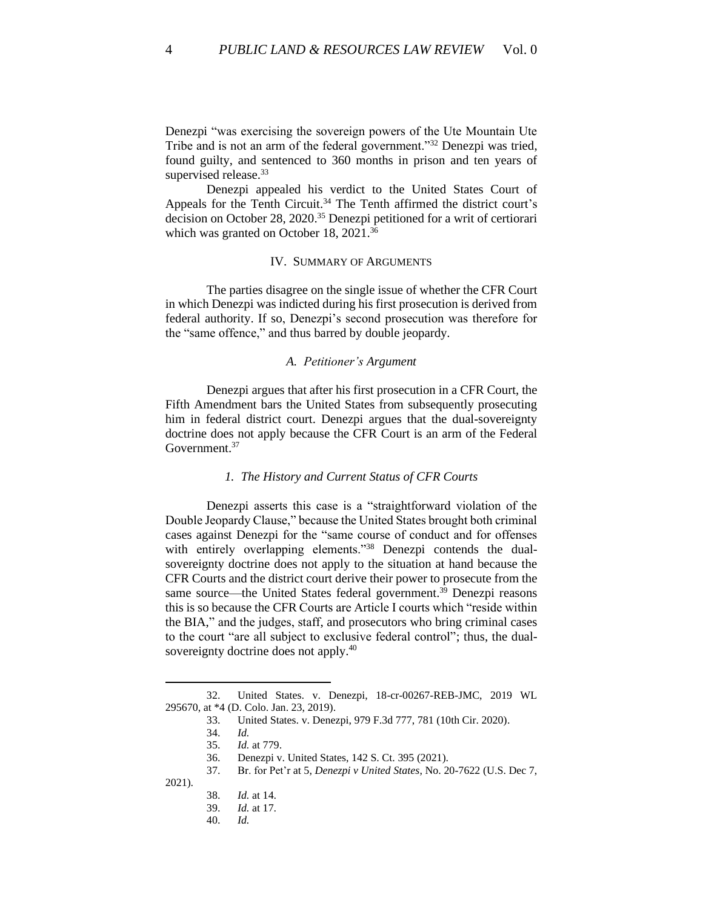Denezpi "was exercising the sovereign powers of the Ute Mountain Ute Tribe and is not an arm of the federal government."<sup>32</sup> Denezpi was tried, found guilty, and sentenced to 360 months in prison and ten years of supervised release.<sup>33</sup>

Denezpi appealed his verdict to the United States Court of Appeals for the Tenth Circuit.<sup>34</sup> The Tenth affirmed the district court's decision on October 28, 2020. <sup>35</sup> Denezpi petitioned for a writ of certiorari which was granted on October 18, 2021.<sup>36</sup>

#### IV. SUMMARY OF ARGUMENTS

The parties disagree on the single issue of whether the CFR Court in which Denezpi was indicted during his first prosecution is derived from federal authority. If so, Denezpi's second prosecution was therefore for the "same offence," and thus barred by double jeopardy.

#### *A. Petitioner's Argument*

Denezpi argues that after his first prosecution in a CFR Court, the Fifth Amendment bars the United States from subsequently prosecuting him in federal district court. Denezpi argues that the dual-sovereignty doctrine does not apply because the CFR Court is an arm of the Federal Government.<sup>37</sup>

#### *1. The History and Current Status of CFR Courts*

Denezpi asserts this case is a "straightforward violation of the Double Jeopardy Clause," because the United States brought both criminal cases against Denezpi for the "same course of conduct and for offenses with entirely overlapping elements."<sup>38</sup> Denezpi contends the dualsovereignty doctrine does not apply to the situation at hand because the CFR Courts and the district court derive their power to prosecute from the same source—the United States federal government.<sup>39</sup> Denezpi reasons this is so because the CFR Courts are Article I courts which "reside within the BIA," and the judges, staff, and prosecutors who bring criminal cases to the court "are all subject to exclusive federal control"; thus, the dualsovereignty doctrine does not apply.<sup>40</sup>

36. Denezpi v. United States, 142 S. Ct. 395 (2021).

2021).

- 39. *Id.* at 17.
- 40. *Id.*

<sup>32.</sup> United States. v. Denezpi, 18-cr-00267-REB-JMC, 2019 WL 295670, at \*4 (D. Colo. Jan. 23, 2019).

<sup>33.</sup> United States. v. Denezpi, 979 F.3d 777, 781 (10th Cir. 2020).

<sup>34.</sup> *Id.* 

<sup>35.</sup> *Id.* at 779.

<sup>37.</sup> Br. for Pet'r at 5, *Denezpi v United States*, No. 20-7622 (U.S. Dec 7,

<sup>38.</sup> *Id.* at 14.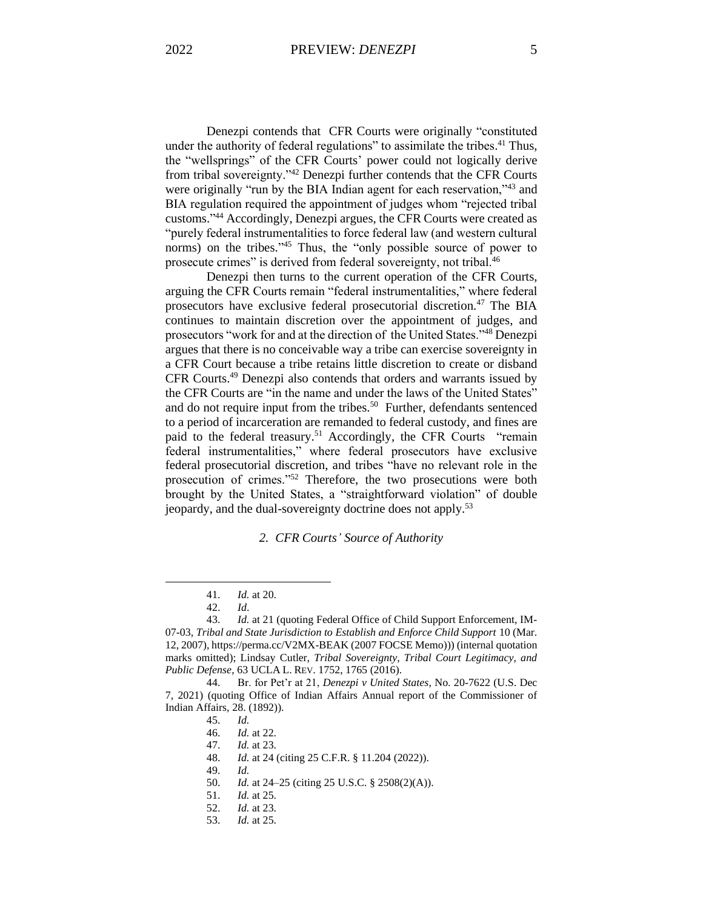Denezpi contends that CFR Courts were originally "constituted under the authority of federal regulations" to assimilate the tribes.<sup>41</sup> Thus, the "wellsprings" of the CFR Courts' power could not logically derive from tribal sovereignty."<sup>42</sup> Denezpi further contends that the CFR Courts were originally "run by the BIA Indian agent for each reservation,"<sup>43</sup> and BIA regulation required the appointment of judges whom "rejected tribal customs." <sup>44</sup> Accordingly, Denezpi argues, the CFR Courts were created as "purely federal instrumentalities to force federal law (and western cultural norms) on the tribes." <sup>45</sup> Thus, the "only possible source of power to prosecute crimes" is derived from federal sovereignty, not tribal.<sup>46</sup>

Denezpi then turns to the current operation of the CFR Courts, arguing the CFR Courts remain "federal instrumentalities," where federal prosecutors have exclusive federal prosecutorial discretion.<sup>47</sup> The BIA continues to maintain discretion over the appointment of judges, and prosecutors "work for and at the direction of the United States."<sup>48</sup> Denezpi argues that there is no conceivable way a tribe can exercise sovereignty in a CFR Court because a tribe retains little discretion to create or disband CFR Courts. <sup>49</sup> Denezpi also contends that orders and warrants issued by the CFR Courts are "in the name and under the laws of the United States" and do not require input from the tribes.<sup>50</sup> Further, defendants sentenced to a period of incarceration are remanded to federal custody, and fines are paid to the federal treasury.<sup>51</sup> Accordingly, the CFR Courts "remain federal instrumentalities," where federal prosecutors have exclusive federal prosecutorial discretion, and tribes "have no relevant role in the prosecution of crimes."<sup>52</sup> Therefore, the two prosecutions were both brought by the United States, a "straightforward violation" of double jeopardy, and the dual-sovereignty doctrine does not apply.<sup>53</sup>

## *2. CFR Courts' Source of Authority*

<sup>41.</sup> *Id.* at 20.

<sup>42.</sup> *Id*.

<sup>43.</sup> *Id.* at 21 (quoting Federal Office of Child Support Enforcement, IM-07-03, *Tribal and State Jurisdiction to Establish and Enforce Child Support* 10 (Mar. 12, 2007), https://perma.cc/V2MX-BEAK (2007 FOCSE Memo))) (internal quotation marks omitted); Lindsay Cutler, *Tribal Sovereignty, Tribal Court Legitimacy, and Public Defense*, 63 UCLA L. REV. 1752, 1765 (2016).

<sup>44.</sup> Br. for Pet'r at 21, *Denezpi v United States*, No. 20-7622 (U.S. Dec 7, 2021) (quoting Office of Indian Affairs Annual report of the Commissioner of Indian Affairs, 28. (1892)).

<sup>45.</sup> *Id.* 

<sup>46.</sup> *Id.* at 22.

<sup>47.</sup> *Id.* at 23.

<sup>48.</sup> *Id.* at 24 (citing 25 C.F.R. § 11.204 (2022)).

<sup>49.</sup> *Id.*

<sup>50.</sup> *Id.* at 24–25 (citing 25 U.S.C. § 2508(2)(A)).

<sup>51.</sup> *Id.* at 25.

<sup>52.</sup> *Id.* at 23.

<sup>53.</sup> *Id.* at 25.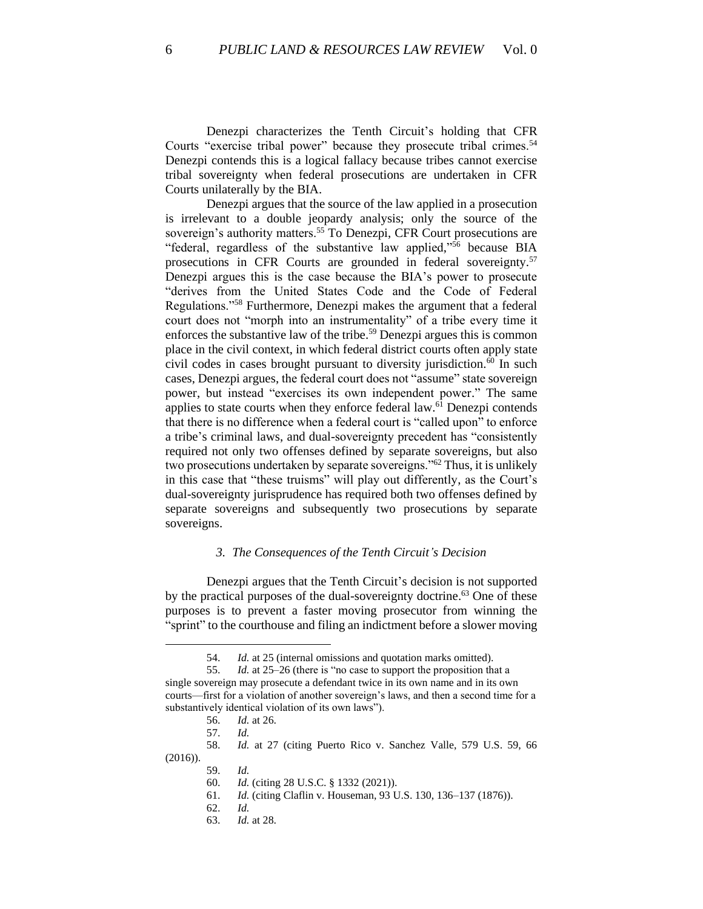Denezpi characterizes the Tenth Circuit's holding that CFR Courts "exercise tribal power" because they prosecute tribal crimes.<sup>54</sup> Denezpi contends this is a logical fallacy because tribes cannot exercise tribal sovereignty when federal prosecutions are undertaken in CFR Courts unilaterally by the BIA.

Denezpi argues that the source of the law applied in a prosecution is irrelevant to a double jeopardy analysis; only the source of the sovereign's authority matters.<sup>55</sup> To Denezpi, CFR Court prosecutions are "federal, regardless of the substantive law applied,"<sup>56</sup> because BIA prosecutions in CFR Courts are grounded in federal sovereignty.<sup>57</sup> Denezpi argues this is the case because the BIA's power to prosecute "derives from the United States Code and the Code of Federal Regulations."<sup>58</sup> Furthermore, Denezpi makes the argument that a federal court does not "morph into an instrumentality" of a tribe every time it enforces the substantive law of the tribe.<sup>59</sup> Denezpi argues this is common place in the civil context, in which federal district courts often apply state civil codes in cases brought pursuant to diversity jurisdiction. $60$  In such cases, Denezpi argues, the federal court does not "assume" state sovereign power, but instead "exercises its own independent power." The same applies to state courts when they enforce federal law.<sup>61</sup> Denezpi contends that there is no difference when a federal court is "called upon" to enforce a tribe's criminal laws, and dual-sovereignty precedent has "consistently required not only two offenses defined by separate sovereigns, but also two prosecutions undertaken by separate sovereigns."<sup>62</sup> Thus, it is unlikely in this case that "these truisms" will play out differently, as the Court's dual-sovereignty jurisprudence has required both two offenses defined by separate sovereigns and subsequently two prosecutions by separate sovereigns.

#### *3. The Consequences of the Tenth Circuit's Decision*

Denezpi argues that the Tenth Circuit's decision is not supported by the practical purposes of the dual-sovereignty doctrine.<sup>63</sup> One of these purposes is to prevent a faster moving prosecutor from winning the "sprint" to the courthouse and filing an indictment before a slower moving

- 62. *Id.*
- 63. *Id.* at 28.

<sup>54.</sup> *Id.* at 25 (internal omissions and quotation marks omitted).

<sup>55.</sup> *Id.* at 25–26 (there is "no case to support the proposition that a single sovereign may prosecute a defendant twice in its own name and in its own courts—first for a violation of another sovereign's laws, and then a second time for a substantively identical violation of its own laws").

<sup>56.</sup> *Id.* at 26.

<sup>57.</sup> *Id.*

<sup>58.</sup> *Id.* at 27 (citing Puerto Rico v. Sanchez Valle, 579 U.S. 59, 66 (2016)).

<sup>59.</sup> *Id.*

<sup>60.</sup> *Id.* (citing 28 U.S.C. § 1332 (2021)).

<sup>61.</sup> *Id.* (citing Claflin v. Houseman, 93 U.S. 130, 136–137 (1876)).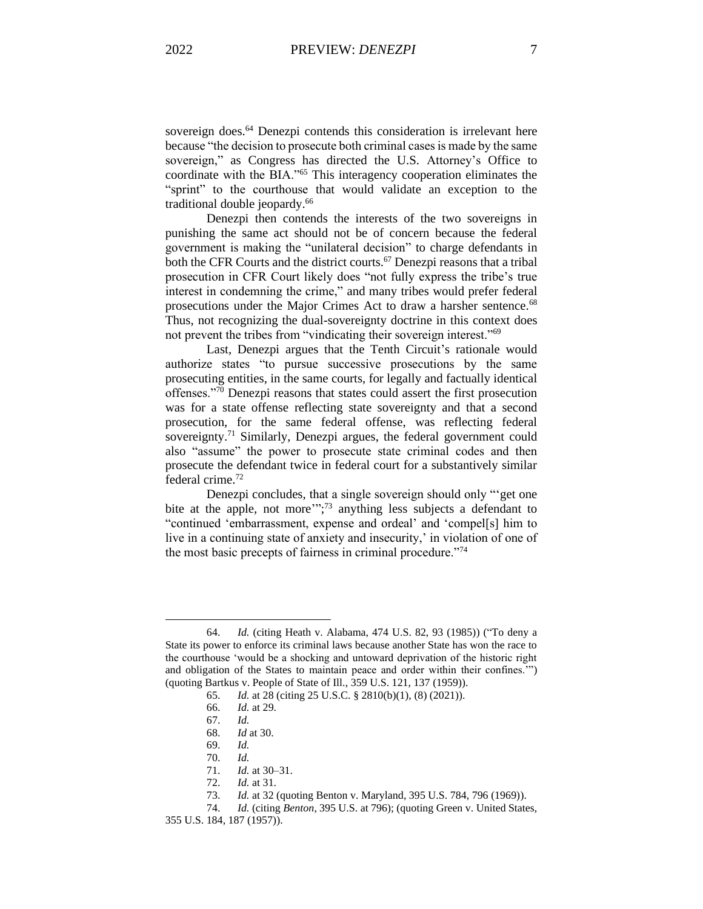sovereign does.<sup>64</sup> Denezpi contends this consideration is irrelevant here because "the decision to prosecute both criminal cases is made by the same sovereign," as Congress has directed the U.S. Attorney's Office to coordinate with the BIA."<sup>65</sup> This interagency cooperation eliminates the "sprint" to the courthouse that would validate an exception to the traditional double jeopardy.<sup>66</sup>

Denezpi then contends the interests of the two sovereigns in punishing the same act should not be of concern because the federal government is making the "unilateral decision" to charge defendants in both the CFR Courts and the district courts.<sup>67</sup> Denezpi reasons that a tribal prosecution in CFR Court likely does "not fully express the tribe's true interest in condemning the crime," and many tribes would prefer federal prosecutions under the Major Crimes Act to draw a harsher sentence.<sup>68</sup> Thus, not recognizing the dual-sovereignty doctrine in this context does not prevent the tribes from "vindicating their sovereign interest."<sup>69</sup>

Last, Denezpi argues that the Tenth Circuit's rationale would authorize states "to pursue successive prosecutions by the same prosecuting entities, in the same courts, for legally and factually identical offenses."<sup>70</sup> Denezpi reasons that states could assert the first prosecution was for a state offense reflecting state sovereignty and that a second prosecution, for the same federal offense, was reflecting federal sovereignty.<sup>71</sup> Similarly, Denezpi argues, the federal government could also "assume" the power to prosecute state criminal codes and then prosecute the defendant twice in federal court for a substantively similar federal crime.<sup>72</sup>

Denezpi concludes, that a single sovereign should only "'get one bite at the apple, not more"<sup>3</sup>;<sup>73</sup> anything less subjects a defendant to "continued 'embarrassment, expense and ordeal' and 'compel[s] him to live in a continuing state of anxiety and insecurity,' in violation of one of the most basic precepts of fairness in criminal procedure."<sup>74</sup>

70. *Id.*

<sup>64.</sup> *Id.* (citing Heath v. Alabama, 474 U.S. 82, 93 (1985)) ("To deny a State its power to enforce its criminal laws because another State has won the race to the courthouse 'would be a shocking and untoward deprivation of the historic right and obligation of the States to maintain peace and order within their confines.'") (quoting Bartkus v. People of State of Ill., 359 U.S. 121, 137 (1959)).

<sup>65.</sup> *Id.* at 28 (citing 25 U.S.C. § 2810(b)(1), (8) (2021)).

<sup>66.</sup> *Id.* at 29.

<sup>67.</sup> *Id.*

<sup>68.</sup> *Id* at 30.

<sup>69.</sup> *Id.*

<sup>71.</sup> *Id.* at 30–31.

<sup>72.</sup> *Id.* at 31.

<sup>73.</sup> *Id.* at 32 (quoting Benton v. Maryland, 395 U.S. 784, 796 (1969)).

<sup>74.</sup> *Id.* (citing *Benton*, 395 U.S. at 796); (quoting Green v. United States,

<sup>355</sup> U.S. 184, 187 (1957)).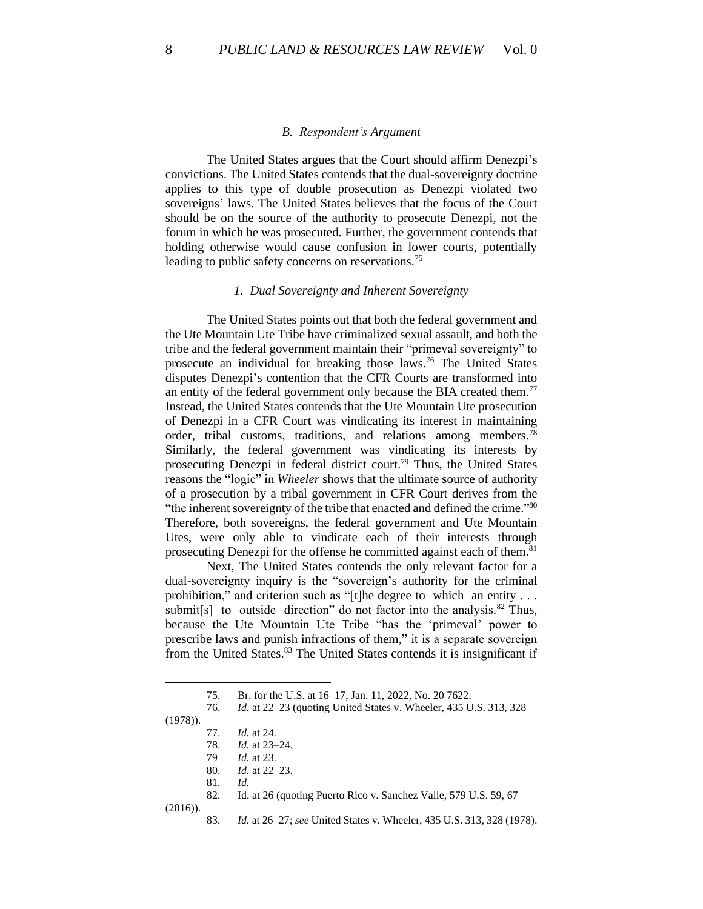#### *B. Respondent's Argument*

The United States argues that the Court should affirm Denezpi's convictions. The United States contends that the dual-sovereignty doctrine applies to this type of double prosecution as Denezpi violated two sovereigns' laws. The United States believes that the focus of the Court should be on the source of the authority to prosecute Denezpi, not the forum in which he was prosecuted. Further, the government contends that holding otherwise would cause confusion in lower courts, potentially leading to public safety concerns on reservations.<sup>75</sup>

# *1. Dual Sovereignty and Inherent Sovereignty*

The United States points out that both the federal government and the Ute Mountain Ute Tribe have criminalized sexual assault, and both the tribe and the federal government maintain their "primeval sovereignty" to prosecute an individual for breaking those laws.<sup>76</sup> The United States disputes Denezpi's contention that the CFR Courts are transformed into an entity of the federal government only because the BIA created them.<sup>77</sup> Instead, the United States contends that the Ute Mountain Ute prosecution of Denezpi in a CFR Court was vindicating its interest in maintaining order, tribal customs, traditions, and relations among members.<sup>78</sup> Similarly, the federal government was vindicating its interests by prosecuting Denezpi in federal district court. <sup>79</sup> Thus, the United States reasons the "logic" in *Wheeler* shows that the ultimate source of authority of a prosecution by a tribal government in CFR Court derives from the "the inherent sovereignty of the tribe that enacted and defined the crime."<sup>80</sup> Therefore, both sovereigns, the federal government and Ute Mountain Utes, were only able to vindicate each of their interests through prosecuting Denezpi for the offense he committed against each of them.<sup>81</sup>

Next, The United States contends the only relevant factor for a dual-sovereignty inquiry is the "sovereign's authority for the criminal prohibition," and criterion such as "[t]he degree to which an entity . . . submit[s] to outside direction" do not factor into the analysis.<sup>82</sup> Thus, because the Ute Mountain Ute Tribe "has the 'primeval' power to prescribe laws and punish infractions of them," it is a separate sovereign from the United States.<sup>83</sup> The United States contends it is insignificant if

| Br. for the U.S. at 16–17, Jan. 11, 2022, No. 20 7622. |  |  |  |  |  |  |  |  |  |  |  |  | 75. |
|--------------------------------------------------------|--|--|--|--|--|--|--|--|--|--|--|--|-----|
|--------------------------------------------------------|--|--|--|--|--|--|--|--|--|--|--|--|-----|

<sup>76.</sup> *Id.* at 22–23 (quoting United States v. Wheeler, 435 U.S. 313, 328

(1978)).

<sup>77.</sup> *Id.* at 24.

<sup>78.</sup> *Id.* at 23–24.

<sup>79</sup> *Id.* at 23.

<sup>80.</sup> *Id.* at 22–23.

<sup>81.</sup> *Id.* Id. at 26 (quoting Puerto Rico v. Sanchez Valle, 579 U.S. 59, 67 (2016)).

<sup>83.</sup> *Id.* at 26–27; *see* United States v. Wheeler, 435 U.S. 313, 328 (1978).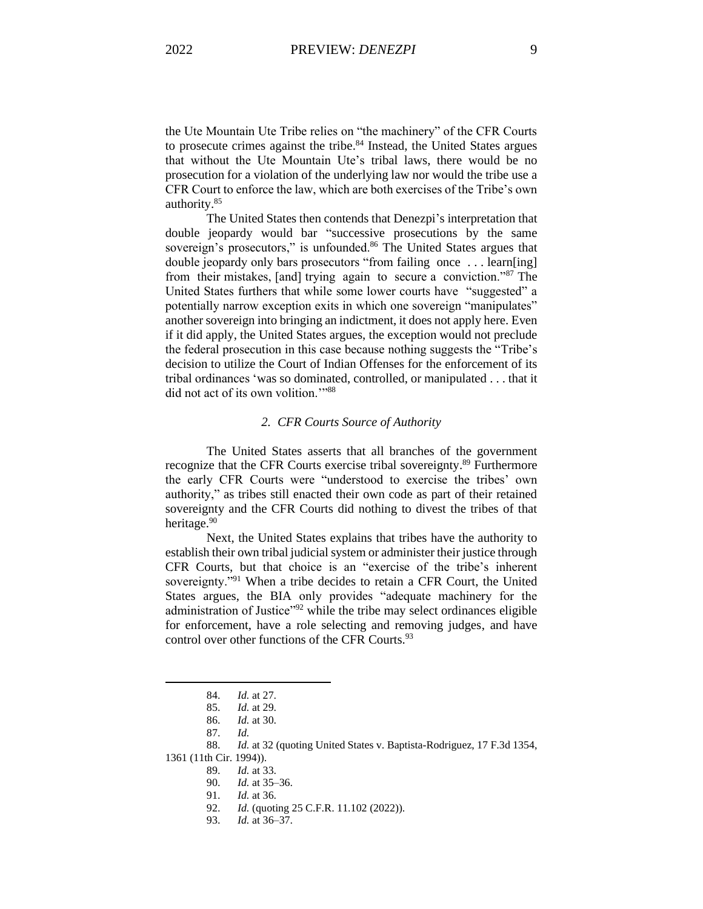the Ute Mountain Ute Tribe relies on "the machinery" of the CFR Courts to prosecute crimes against the tribe. <sup>84</sup> Instead, the United States argues that without the Ute Mountain Ute's tribal laws, there would be no prosecution for a violation of the underlying law nor would the tribe use a CFR Court to enforce the law, which are both exercises of the Tribe's own authority.<sup>85</sup>

The United States then contends that Denezpi's interpretation that double jeopardy would bar "successive prosecutions by the same sovereign's prosecutors," is unfounded.<sup>86</sup> The United States argues that double jeopardy only bars prosecutors "from failing once . . . learn[ing] from their mistakes, [and] trying again to secure a conviction."<sup>87</sup> The United States furthers that while some lower courts have "suggested" a potentially narrow exception exits in which one sovereign "manipulates" another sovereign into bringing an indictment, it does not apply here. Even if it did apply, the United States argues, the exception would not preclude the federal prosecution in this case because nothing suggests the "Tribe's decision to utilize the Court of Indian Offenses for the enforcement of its tribal ordinances 'was so dominated, controlled, or manipulated . . . that it did not act of its own volition."<sup>88</sup>

## *2. CFR Courts Source of Authority*

The United States asserts that all branches of the government recognize that the CFR Courts exercise tribal sovereignty.<sup>89</sup> Furthermore the early CFR Courts were "understood to exercise the tribes' own authority," as tribes still enacted their own code as part of their retained sovereignty and the CFR Courts did nothing to divest the tribes of that heritage.<sup>90</sup>

Next, the United States explains that tribes have the authority to establish their own tribal judicial system or administer their justice through CFR Courts, but that choice is an "exercise of the tribe's inherent sovereignty."<sup>91</sup> When a tribe decides to retain a CFR Court, the United States argues, the BIA only provides "adequate machinery for the administration of Justice"<sup>92</sup> while the tribe may select ordinances eligible for enforcement, have a role selecting and removing judges, and have control over other functions of the CFR Courts.<sup>93</sup>

<sup>84.</sup> *Id.* at 27.

<sup>85.</sup> *Id.* at 29.

<sup>86.</sup> *Id.* at 30.

<sup>87.</sup> *Id.*

<sup>88.</sup> *Id.* at 32 (quoting United States v. Baptista-Rodriguez, 17 F.3d 1354,

<sup>1361 (11</sup>th Cir. 1994)). 89. *Id.* at 33.

<sup>90.</sup> *Id.* at 35–36.

*Id.* at 36.

<sup>92.</sup> *Id.* (quoting 25 C.F.R. 11.102 (2022)).

<sup>93.</sup> *Id.* at 36–37.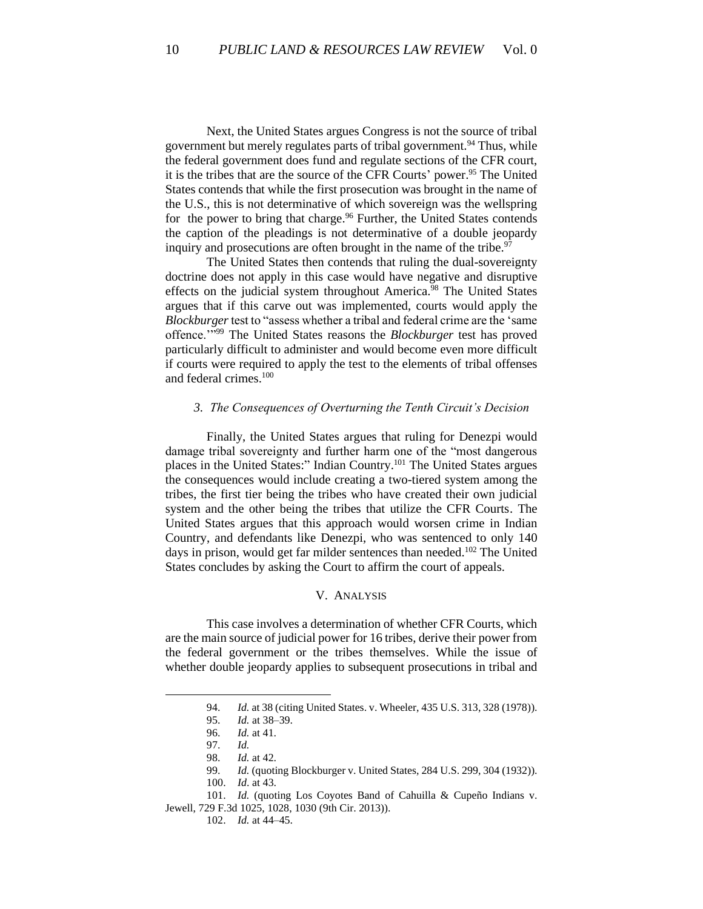Next, the United States argues Congress is not the source of tribal government but merely regulates parts of tribal government.<sup>94</sup> Thus, while the federal government does fund and regulate sections of the CFR court, it is the tribes that are the source of the CFR Courts' power.<sup>95</sup> The United States contends that while the first prosecution was brought in the name of the U.S., this is not determinative of which sovereign was the wellspring for the power to bring that charge.<sup>96</sup> Further, the United States contends the caption of the pleadings is not determinative of a double jeopardy inquiry and prosecutions are often brought in the name of the tribe.<sup>97</sup>

The United States then contends that ruling the dual-sovereignty doctrine does not apply in this case would have negative and disruptive effects on the judicial system throughout America.<sup>98</sup> The United States argues that if this carve out was implemented, courts would apply the *Blockburger*test to "assess whether a tribal and federal crime are the 'same offence.'"<sup>99</sup> The United States reasons the *Blockburger* test has proved particularly difficult to administer and would become even more difficult if courts were required to apply the test to the elements of tribal offenses and federal crimes.<sup>100</sup>

#### *3. The Consequences of Overturning the Tenth Circuit's Decision*

Finally, the United States argues that ruling for Denezpi would damage tribal sovereignty and further harm one of the "most dangerous places in the United States:" Indian Country.<sup>101</sup> The United States argues the consequences would include creating a two-tiered system among the tribes, the first tier being the tribes who have created their own judicial system and the other being the tribes that utilize the CFR Courts. The United States argues that this approach would worsen crime in Indian Country, and defendants like Denezpi, who was sentenced to only 140 days in prison, would get far milder sentences than needed.<sup>102</sup> The United States concludes by asking the Court to affirm the court of appeals.

# V. ANALYSIS

This case involves a determination of whether CFR Courts, which are the main source of judicial power for 16 tribes, derive their power from the federal government or the tribes themselves. While the issue of whether double jeopardy applies to subsequent prosecutions in tribal and

<sup>94.</sup> *Id.* at 38 (citing United States. v. Wheeler, 435 U.S. 313, 328 (1978)).

<sup>95.</sup> *Id.* at 38–39.

<sup>96.</sup> *Id.* at 41.

<sup>97.</sup> *Id.*

<sup>98.</sup> *Id.* at 42.

<sup>99.</sup> *Id.* (quoting Blockburger v. United States, 284 U.S. 299, 304 (1932)).

<sup>100.</sup> *Id*. at 43.

<sup>101.</sup> *Id.* (quoting Los Coyotes Band of Cahuilla & Cupeño Indians v. Jewell, 729 F.3d 1025, 1028, 1030 (9th Cir. 2013)).

<sup>102.</sup> *Id.* at 44–45.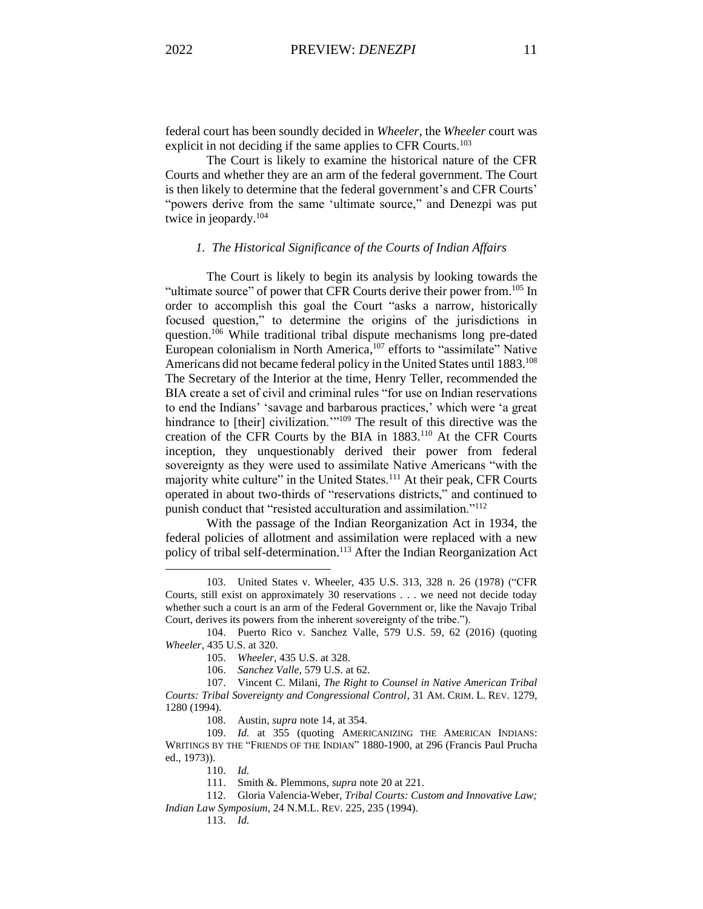federal court has been soundly decided in *Wheeler,* the *Wheeler* court was explicit in not deciding if the same applies to CFR Courts.<sup>103</sup>

The Court is likely to examine the historical nature of the CFR Courts and whether they are an arm of the federal government. The Court is then likely to determine that the federal government's and CFR Courts' "powers derive from the same 'ultimate source," and Denezpi was put twice in jeopardy.<sup>104</sup>

#### *1. The Historical Significance of the Courts of Indian Affairs*

The Court is likely to begin its analysis by looking towards the "ultimate source" of power that CFR Courts derive their power from.<sup>105</sup> In order to accomplish this goal the Court "asks a narrow, historically focused question," to determine the origins of the jurisdictions in question.<sup>106</sup> While traditional tribal dispute mechanisms long pre-dated European colonialism in North America,<sup>107</sup> efforts to "assimilate" Native Americans did not became federal policy in the United States until 1883. 108 The Secretary of the Interior at the time, Henry Teller, recommended the BIA create a set of civil and criminal rules "for use on Indian reservations to end the Indians' 'savage and barbarous practices,' which were 'a great hindrance to [their] civilization."<sup>109</sup> The result of this directive was the creation of the CFR Courts by the BIA in 1883.<sup>110</sup> At the CFR Courts inception, they unquestionably derived their power from federal sovereignty as they were used to assimilate Native Americans "with the majority white culture" in the United States.<sup>111</sup> At their peak, CFR Courts operated in about two-thirds of "reservations districts," and continued to punish conduct that "resisted acculturation and assimilation."<sup>112</sup>

With the passage of the Indian Reorganization Act in 1934, the federal policies of allotment and assimilation were replaced with a new policy of tribal self-determination.<sup>113</sup> After the Indian Reorganization Act

108. Austin, *supra* note 14, at 354.

110. *Id.*

<sup>103.</sup> United States v. Wheeler, 435 U.S. 313, 328 n. 26 (1978) ("CFR Courts, still exist on approximately 30 reservations . . . we need not decide today whether such a court is an arm of the Federal Government or, like the Navajo Tribal Court, derives its powers from the inherent sovereignty of the tribe.").

<sup>104.</sup> Puerto Rico v. Sanchez Valle, 579 U.S. 59, 62 (2016) (quoting *Wheeler*, 435 U.S. at 320.

<sup>105.</sup> *Wheeler,* 435 U.S. at 328.

<sup>106.</sup> *Sanchez Valle*, 579 U.S. at 62.

<sup>107.</sup> Vincent C. Milani, *The Right to Counsel in Native American Tribal Courts: Tribal Sovereignty and Congressional Control*, 31 AM. CRIM. L. REV. 1279, 1280 (1994).

<sup>109.</sup> *Id.* at 355 (quoting AMERICANIZING THE AMERICAN INDIANS: WRITINGS BY THE "FRIENDS OF THE INDIAN" 1880-1900, at 296 (Francis Paul Prucha ed., 1973)).

<sup>111.</sup> Smith &. Plemmons, *supra* note 20 at 221.

<sup>112.</sup> Gloria Valencia-Weber, *Tribal Courts: Custom and Innovative Law; Indian Law Symposium*, 24 N.M.L. REV. 225, 235 (1994).

<sup>113.</sup> *Id.*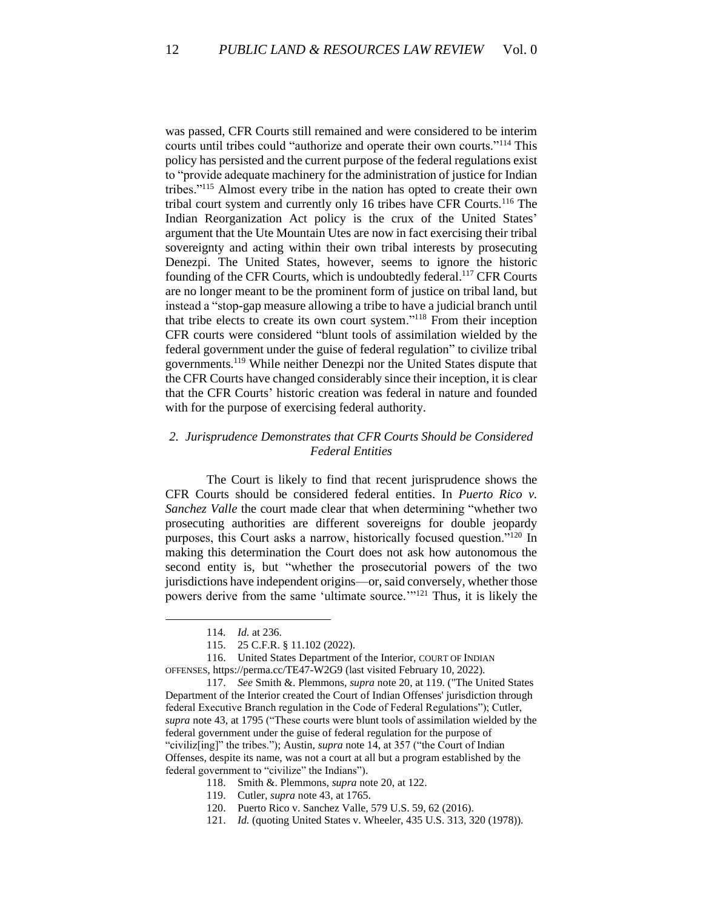was passed, CFR Courts still remained and were considered to be interim courts until tribes could "authorize and operate their own courts."<sup>114</sup> This policy has persisted and the current purpose of the federal regulations exist to "provide adequate machinery for the administration of justice for Indian tribes."<sup>115</sup> Almost every tribe in the nation has opted to create their own tribal court system and currently only 16 tribes have CFR Courts.<sup>116</sup> The Indian Reorganization Act policy is the crux of the United States' argument that the Ute Mountain Utes are now in fact exercising their tribal sovereignty and acting within their own tribal interests by prosecuting Denezpi. The United States, however, seems to ignore the historic founding of the CFR Courts, which is undoubtedly federal.<sup>117</sup> CFR Courts are no longer meant to be the prominent form of justice on tribal land, but instead a "stop-gap measure allowing a tribe to have a judicial branch until that tribe elects to create its own court system."<sup>118</sup> From their inception CFR courts were considered "blunt tools of assimilation wielded by the federal government under the guise of federal regulation" to civilize tribal governments.<sup>119</sup> While neither Denezpi nor the United States dispute that the CFR Courts have changed considerably since their inception, it is clear that the CFR Courts' historic creation was federal in nature and founded with for the purpose of exercising federal authority.

# *2. Jurisprudence Demonstrates that CFR Courts Should be Considered Federal Entities*

The Court is likely to find that recent jurisprudence shows the CFR Courts should be considered federal entities. In *Puerto Rico v. Sanchez Valle* the court made clear that when determining "whether two prosecuting authorities are different sovereigns for double jeopardy purposes, this Court asks a narrow, historically focused question."<sup>120</sup> In making this determination the Court does not ask how autonomous the second entity is, but "whether the prosecutorial powers of the two jurisdictions have independent origins—or, said conversely, whether those powers derive from the same 'ultimate source.'"<sup>121</sup> Thus, it is likely the

<sup>114</sup>*. Id.* at 236.

<sup>115.</sup> 25 C.F.R. § 11.102 (2022).

<sup>116.</sup> United States Department of the Interior, COURT OF INDIAN OFFENSES, https://perma.cc/TE47-W2G9 (last visited February 10, 2022).

<sup>117.</sup> *See* Smith &. Plemmons, *supra* note 20, at 119. ("The United States Department of the Interior created the Court of Indian Offenses' jurisdiction through federal Executive Branch regulation in the Code of Federal Regulations"); Cutler, *supra* note 43, at 1795 ("These courts were blunt tools of assimilation wielded by the federal government under the guise of federal regulation for the purpose of "civiliz<sup>[ing]"</sup> the tribes."); Austin, *supra* note 14, at 357 ("the Court of Indian Offenses, despite its name, was not a court at all but a program established by the federal government to "civilize" the Indians").

<sup>118.</sup> Smith &. Plemmons, *supra* note 20, at 122.

<sup>119.</sup> Cutler, *supra* note 43, at 1765.

<sup>120.</sup> Puerto Rico v. Sanchez Valle, 579 U.S. 59, 62 (2016).

<sup>121.</sup> *Id.* (quoting United States v. Wheeler, 435 U.S. 313, 320 (1978)).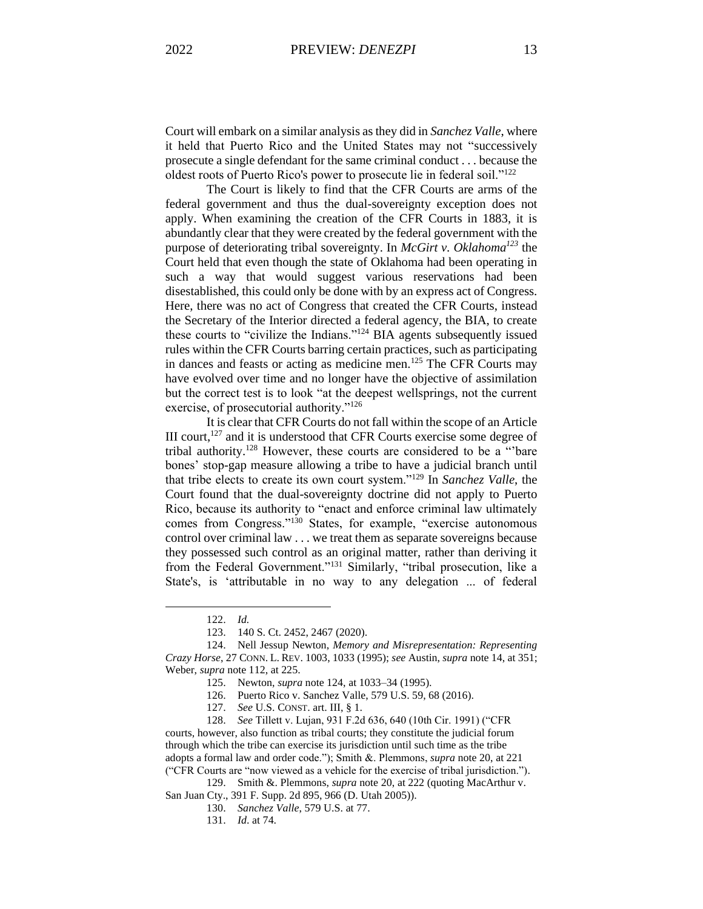Court will embark on a similar analysis as they did in *Sanchez Valle*, where it held that Puerto Rico and the United States may not "successively prosecute a single defendant for the same criminal conduct . . . because the oldest roots of Puerto Rico's power to prosecute lie in federal soil."<sup>122</sup>

The Court is likely to find that the CFR Courts are arms of the federal government and thus the dual-sovereignty exception does not apply. When examining the creation of the CFR Courts in 1883, it is abundantly clear that they were created by the federal government with the purpose of deteriorating tribal sovereignty. In *McGirt v. Oklahoma<sup>123</sup>* the Court held that even though the state of Oklahoma had been operating in such a way that would suggest various reservations had been disestablished, this could only be done with by an express act of Congress. Here, there was no act of Congress that created the CFR Courts, instead the Secretary of the Interior directed a federal agency, the BIA, to create these courts to "civilize the Indians."<sup>124</sup> BIA agents subsequently issued rules within the CFR Courts barring certain practices, such as participating in dances and feasts or acting as medicine men.<sup>125</sup> The CFR Courts may have evolved over time and no longer have the objective of assimilation but the correct test is to look "at the deepest wellsprings, not the current exercise, of prosecutorial authority."<sup>126</sup>

It is clear that CFR Courts do not fall within the scope of an Article III court,<sup>127</sup> and it is understood that CFR Courts exercise some degree of tribal authority.<sup>128</sup> However, these courts are considered to be a "'bare bones' stop-gap measure allowing a tribe to have a judicial branch until that tribe elects to create its own court system."<sup>129</sup> In *Sanchez Valle*, the Court found that the dual-sovereignty doctrine did not apply to Puerto Rico, because its authority to "enact and enforce criminal law ultimately comes from Congress."<sup>130</sup> States, for example, "exercise autonomous control over criminal law . . . we treat them as separate sovereigns because they possessed such control as an original matter, rather than deriving it from the Federal Government."<sup>131</sup> Similarly, "tribal prosecution, like a State's, is 'attributable in no way to any delegation ... of federal

128. *See* Tillett v. Lujan, 931 F.2d 636, 640 (10th Cir. 1991) ("CFR courts, however, also function as tribal courts; they constitute the judicial forum through which the tribe can exercise its jurisdiction until such time as the tribe adopts a formal law and order code."); Smith &. Plemmons, *supra* note 20, at 221 ("CFR Courts are "now viewed as a vehicle for the exercise of tribal jurisdiction.").

129. Smith &. Plemmons, *supra* note 20, at 222 (quoting MacArthur v. San Juan Cty., 391 F. Supp. 2d 895, 966 (D. Utah 2005)).

<sup>122.</sup> *Id.* 

<sup>123.</sup> 140 S. Ct. 2452, 2467 (2020).

<sup>124.</sup> Nell Jessup Newton, *Memory and Misrepresentation: Representing Crazy Horse*, 27 CONN. L. REV. 1003, 1033 (1995); *see* Austin, *supra* note 14, at 351; Weber, *supra* note 112, at 225.

<sup>125.</sup> Newton, *supra* note 124, at 1033–34 (1995).

<sup>126.</sup> Puerto Rico v. Sanchez Valle, 579 U.S. 59, 68 (2016).

<sup>127.</sup> *See* U.S. CONST. art. III, § 1.

<sup>130.</sup> *Sanchez Valle*, 579 U.S. at 77.

<sup>131.</sup> *Id*. at 74.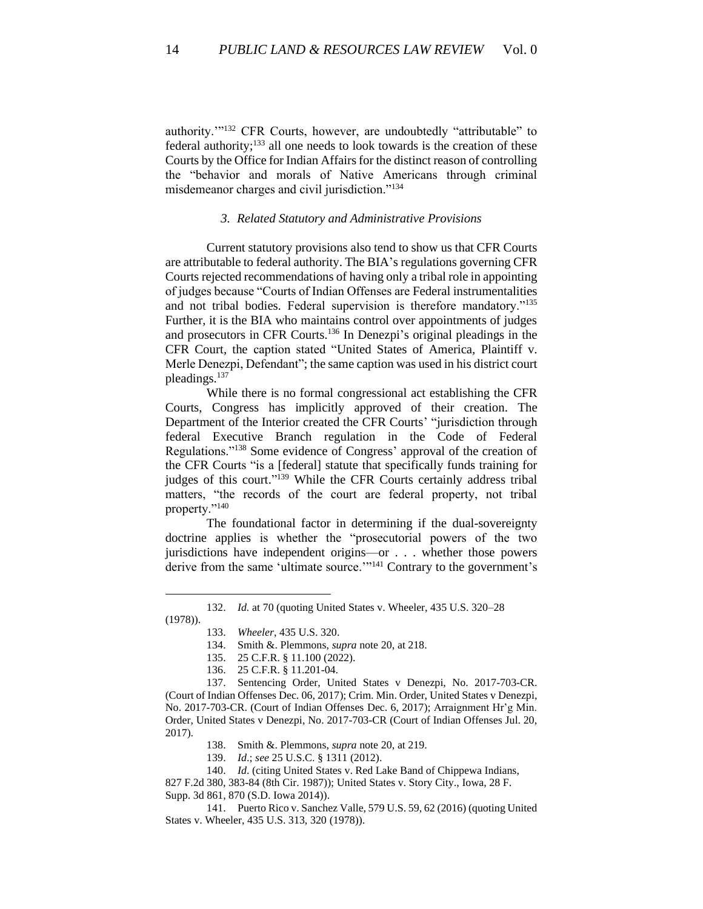authority.'"<sup>132</sup> CFR Courts, however, are undoubtedly "attributable" to federal authority; $133$  all one needs to look towards is the creation of these Courts by the Office for Indian Affairs for the distinct reason of controlling the "behavior and morals of Native Americans through criminal misdemeanor charges and civil jurisdiction."<sup>134</sup>

#### *3. Related Statutory and Administrative Provisions*

Current statutory provisions also tend to show us that CFR Courts are attributable to federal authority. The BIA's regulations governing CFR Courts rejected recommendations of having only a tribal role in appointing of judges because "Courts of Indian Offenses are Federal instrumentalities and not tribal bodies. Federal supervision is therefore mandatory."<sup>135</sup> Further, it is the BIA who maintains control over appointments of judges and prosecutors in CFR Courts.<sup>136</sup> In Denezpi's original pleadings in the CFR Court, the caption stated "United States of America, Plaintiff v. Merle Denezpi, Defendant"; the same caption was used in his district court pleadings.<sup>137</sup>

While there is no formal congressional act establishing the CFR Courts, Congress has implicitly approved of their creation. The Department of the Interior created the CFR Courts' "jurisdiction through federal Executive Branch regulation in the Code of Federal Regulations."<sup>138</sup> Some evidence of Congress' approval of the creation of the CFR Courts "is a [federal] statute that specifically funds training for judges of this court."<sup>139</sup> While the CFR Courts certainly address tribal matters, "the records of the court are federal property, not tribal property."<sup>140</sup>

The foundational factor in determining if the dual-sovereignty doctrine applies is whether the "prosecutorial powers of the two jurisdictions have independent origins—or . . . whether those powers derive from the same 'ultimate source.'"<sup>141</sup> Contrary to the government's

<sup>132.</sup> *Id.* at 70 (quoting United States v. Wheeler, 435 U.S. 320–28 (1978)).

<sup>133.</sup> *Wheeler*, 435 U.S. 320.

<sup>134.</sup> Smith &. Plemmons, *supra* note 20, at 218.

<sup>135.</sup> 25 C.F.R. § 11.100 (2022).

<sup>136.</sup> 25 C.F.R. § 11.201-04.

<sup>137.</sup> Sentencing Order, United States v Denezpi, No. 2017-703-CR. (Court of Indian Offenses Dec. 06, 2017); Crim. Min. Order, United States v Denezpi, No. 2017-703-CR. (Court of Indian Offenses Dec. 6, 2017); Arraignment Hr'g Min. Order, United States v Denezpi, No. 2017-703-CR (Court of Indian Offenses Jul. 20, 2017).

<sup>138.</sup> Smith &. Plemmons, *supra* note 20, at 219.

<sup>139.</sup> *Id*.; *see* 25 U.S.C. § 1311 (2012).

<sup>140.</sup> *Id*. (citing United States v. Red Lake Band of Chippewa Indians,

<sup>827</sup> F.2d 380, 383-84 (8th Cir. 1987)); United States v. Story City., Iowa, 28 F. Supp. 3d 861, 870 (S.D. Iowa 2014)).

<sup>141.</sup> Puerto Rico v. Sanchez Valle, 579 U.S. 59, 62 (2016) (quoting United States v. Wheeler, 435 U.S. 313, 320 (1978)).